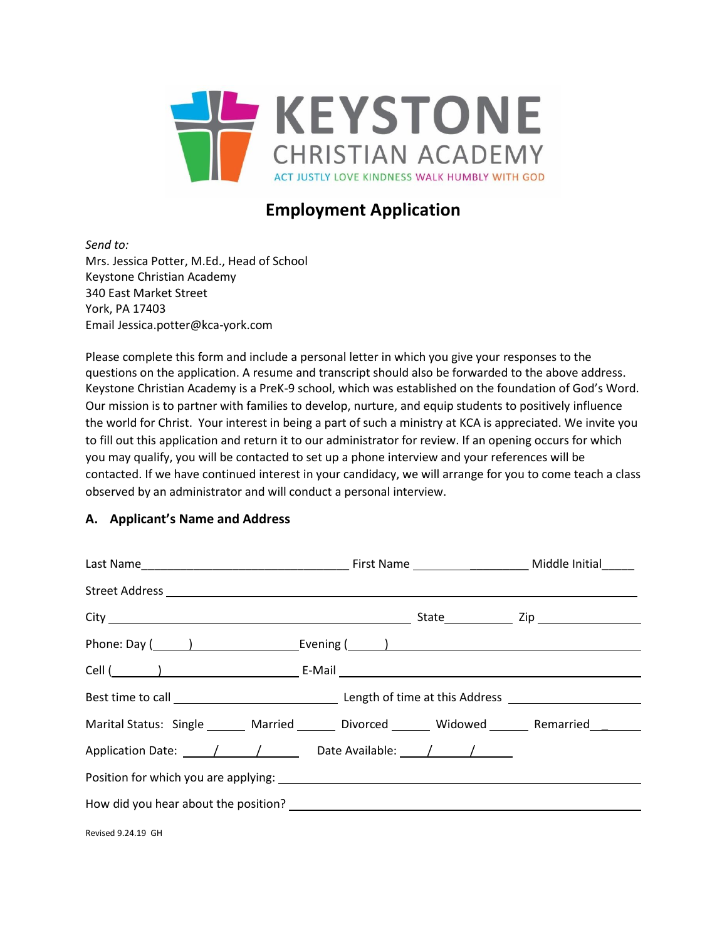

# **Employment Application**

*Send to:*  Mrs. Jessica Potter, M.Ed., Head of School Keystone Christian Academy 340 East Market Street York, PA 17403 Email Jessica.potter@kca-york.com

Please complete this form and include a personal letter in which you give your responses to the questions on the application. A resume and transcript should also be forwarded to the above address. Keystone Christian Academy is a PreK-9 school, which was established on the foundation of God's Word. Our mission is to partner with families to develop, nurture, and equip students to positively influence the world for Christ. Your interest in being a part of such a ministry at KCA is appreciated. We invite you to fill out this application and return it to our administrator for review. If an opening occurs for which you may qualify, you will be contacted to set up a phone interview and your references will be contacted. If we have continued interest in your candidacy, we will arrange for you to come teach a class observed by an administrator and will conduct a personal interview.

## **A. Applicant's Name and Address**

| Phone: Day (1992) [2012] [2012] [2012] [2012] [2012] [2012] [2012] [2012] [2012] [2012] [2012] [2012] [2012] [ |  |  |  |
|----------------------------------------------------------------------------------------------------------------|--|--|--|
|                                                                                                                |  |  |  |
|                                                                                                                |  |  |  |
| Marital Status: Single ______ Married ______ Divorced ______ Widowed ______ Remarried _______                  |  |  |  |
| Application Date: $\frac{1}{\sqrt{1-\frac{1}{2}}}$ Date Available: $\frac{1}{\sqrt{1-\frac{1}{2}}}$            |  |  |  |
|                                                                                                                |  |  |  |
|                                                                                                                |  |  |  |
| Revised 9.24.19 GH                                                                                             |  |  |  |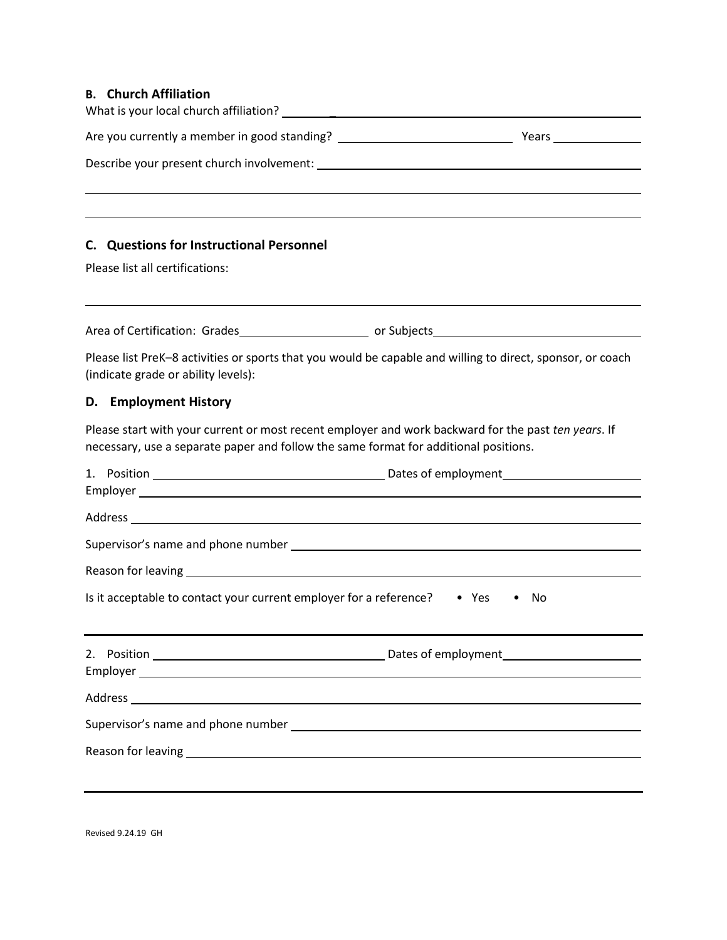## **B. Church Affiliation**

| C. Questions for Instructional Personnel                                                                                                                                                                                       |  |                     |  |  |  |
|--------------------------------------------------------------------------------------------------------------------------------------------------------------------------------------------------------------------------------|--|---------------------|--|--|--|
| Please list all certifications:                                                                                                                                                                                                |  |                     |  |  |  |
|                                                                                                                                                                                                                                |  |                     |  |  |  |
| Please list PreK-8 activities or sports that you would be capable and willing to direct, sponsor, or coach<br>(indicate grade or ability levels):                                                                              |  |                     |  |  |  |
| D. Employment History                                                                                                                                                                                                          |  |                     |  |  |  |
| Please start with your current or most recent employer and work backward for the past ten years. If<br>necessary, use a separate paper and follow the same format for additional positions.                                    |  |                     |  |  |  |
|                                                                                                                                                                                                                                |  |                     |  |  |  |
|                                                                                                                                                                                                                                |  |                     |  |  |  |
|                                                                                                                                                                                                                                |  |                     |  |  |  |
|                                                                                                                                                                                                                                |  |                     |  |  |  |
| Is it acceptable to contact your current employer for a reference?                                                                                                                                                             |  | $\bullet$ Yes<br>No |  |  |  |
|                                                                                                                                                                                                                                |  |                     |  |  |  |
|                                                                                                                                                                                                                                |  |                     |  |  |  |
|                                                                                                                                                                                                                                |  |                     |  |  |  |
| Reason for leaving the contract of the contract of the contract of the contract of the contract of the contract of the contract of the contract of the contract of the contract of the contract of the contract of the contrac |  |                     |  |  |  |
|                                                                                                                                                                                                                                |  |                     |  |  |  |
|                                                                                                                                                                                                                                |  |                     |  |  |  |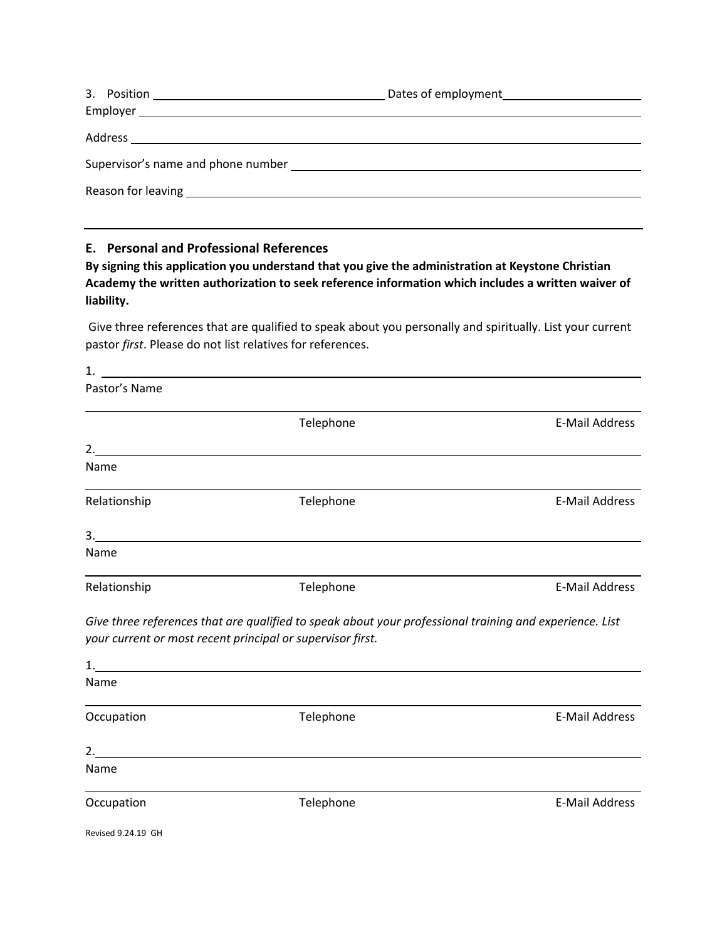| Supervisor's name and phone number states and phone states are all the states of the states of the Supervisor's name and phone number |  |
|---------------------------------------------------------------------------------------------------------------------------------------|--|

## **E. Personal and Professional References**

**By signing this application you understand that you give the administration at Keystone Christian Academy the written authorization to seek reference information which includes a written waiver of liability.**

Give three references that are qualified to speak about you personally and spiritually. List your current pastor *first*. Please do not list relatives for references.

| Pastor's Name      |                                                                                                                                                                       |                       |
|--------------------|-----------------------------------------------------------------------------------------------------------------------------------------------------------------------|-----------------------|
|                    | Telephone                                                                                                                                                             | <b>E-Mail Address</b> |
| 2.                 |                                                                                                                                                                       |                       |
| Name               |                                                                                                                                                                       |                       |
| Relationship       | Telephone                                                                                                                                                             | <b>E-Mail Address</b> |
|                    | 3.                                                                                                                                                                    |                       |
| Name               |                                                                                                                                                                       |                       |
| Relationship       | Telephone                                                                                                                                                             | <b>E-Mail Address</b> |
|                    | Give three references that are qualified to speak about your professional training and experience. List<br>your current or most recent principal or supervisor first. |                       |
|                    |                                                                                                                                                                       |                       |
| Name               |                                                                                                                                                                       |                       |
| Occupation         | Telephone                                                                                                                                                             | <b>E-Mail Address</b> |
|                    | 2.                                                                                                                                                                    |                       |
| Name               |                                                                                                                                                                       |                       |
| Occupation         | Telephone                                                                                                                                                             | <b>E-Mail Address</b> |
| Revised 9.24.19 GH |                                                                                                                                                                       |                       |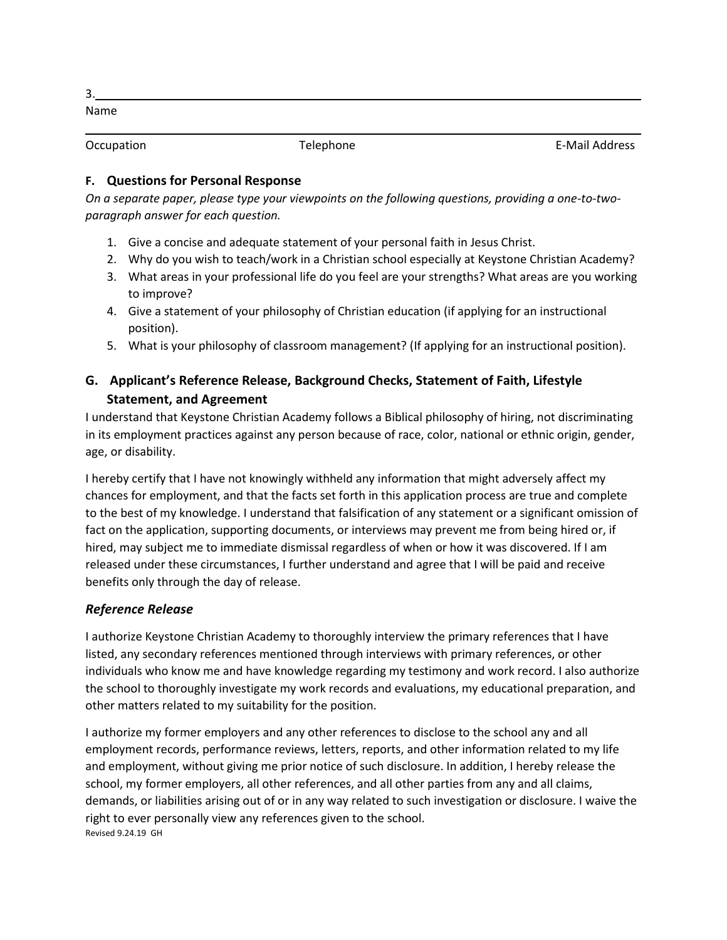Name

Occupation **Telephone** Telephone **Telephone Telephone Telephone Telephone Telephone Telephone Telephone Telephone Telephone Telephone Telephone Telephone Telephone Telephone Telephone Telephon** 

## **F. Questions for Personal Response**

*On a separate paper, please type your viewpoints on the following questions, providing a one-to-twoparagraph answer for each question.*

- 1. Give a concise and adequate statement of your personal faith in Jesus Christ.
- 2. Why do you wish to teach/work in a Christian school especially at Keystone Christian Academy?
- 3. What areas in your professional life do you feel are your strengths? What areas are you working to improve?
- 4. Give a statement of your philosophy of Christian education (if applying for an instructional position).
- 5. What is your philosophy of classroom management? (If applying for an instructional position).

## **G. Applicant's Reference Release, Background Checks, Statement of Faith, Lifestyle Statement, and Agreement**

I understand that Keystone Christian Academy follows a Biblical philosophy of hiring, not discriminating in its employment practices against any person because of race, color, national or ethnic origin, gender, age, or disability.

I hereby certify that I have not knowingly withheld any information that might adversely affect my chances for employment, and that the facts set forth in this application process are true and complete to the best of my knowledge. I understand that falsification of any statement or a significant omission of fact on the application, supporting documents, or interviews may prevent me from being hired or, if hired, may subject me to immediate dismissal regardless of when or how it was discovered. If I am released under these circumstances, I further understand and agree that I will be paid and receive benefits only through the day of release.

## *Reference Release*

I authorize Keystone Christian Academy to thoroughly interview the primary references that I have listed, any secondary references mentioned through interviews with primary references, or other individuals who know me and have knowledge regarding my testimony and work record. I also authorize the school to thoroughly investigate my work records and evaluations, my educational preparation, and other matters related to my suitability for the position.

Revised 9.24.19 GH I authorize my former employers and any other references to disclose to the school any and all employment records, performance reviews, letters, reports, and other information related to my life and employment, without giving me prior notice of such disclosure. In addition, I hereby release the school, my former employers, all other references, and all other parties from any and all claims, demands, or liabilities arising out of or in any way related to such investigation or disclosure. I waive the right to ever personally view any references given to the school.

3.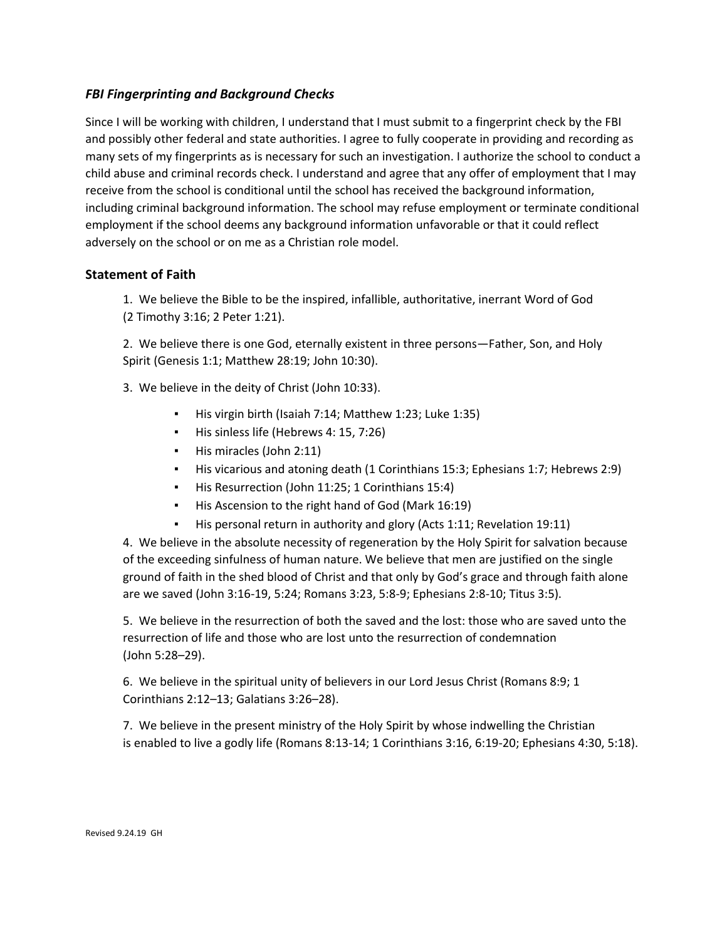## *FBI Fingerprinting and Background Checks*

Since I will be working with children, I understand that I must submit to a fingerprint check by the FBI and possibly other federal and state authorities. I agree to fully cooperate in providing and recording as many sets of my fingerprints as is necessary for such an investigation. I authorize the school to conduct a child abuse and criminal records check. I understand and agree that any offer of employment that I may receive from the school is conditional until the school has received the background information, including criminal background information. The school may refuse employment or terminate conditional employment if the school deems any background information unfavorable or that it could reflect adversely on the school or on me as a Christian role model.

## **Statement of Faith**

1. We believe the Bible to be the inspired, infallible, authoritative, inerrant Word of God (2 Timothy 3:16; 2 Peter 1:21).

2. We believe there is one God, eternally existent in three persons—Father, Son, and Holy Spirit (Genesis 1:1; Matthew 28:19; John 10:30).

3. We believe in the deity of Christ (John 10:33).

- His virgin birth (Isaiah 7:14; Matthew 1:23; Luke 1:35)
- His sinless life (Hebrews 4: 15, 7:26)
- His miracles (John 2:11)
- His vicarious and atoning death (1 Corinthians 15:3; Ephesians 1:7; Hebrews 2:9)
- His Resurrection (John 11:25; 1 Corinthians 15:4)
- His Ascension to the right hand of God (Mark 16:19)
- His personal return in authority and glory (Acts 1:11; Revelation 19:11)

4. We believe in the absolute necessity of regeneration by the Holy Spirit for salvation because of the exceeding sinfulness of human nature. We believe that men are justified on the single ground of faith in the shed blood of Christ and that only by God's grace and through faith alone are we saved (John 3:16-19, 5:24; Romans 3:23, 5:8-9; Ephesians 2:8-10; Titus 3:5).

5. We believe in the resurrection of both the saved and the lost: those who are saved unto the resurrection of life and those who are lost unto the resurrection of condemnation (John 5:28–29).

6. We believe in the spiritual unity of believers in our Lord Jesus Christ (Romans 8:9; 1 Corinthians 2:12–13; Galatians 3:26–28).

7. We believe in the present ministry of the Holy Spirit by whose indwelling the Christian is enabled to live a godly life (Romans 8:13-14; 1 Corinthians 3:16, 6:19-20; Ephesians 4:30, 5:18).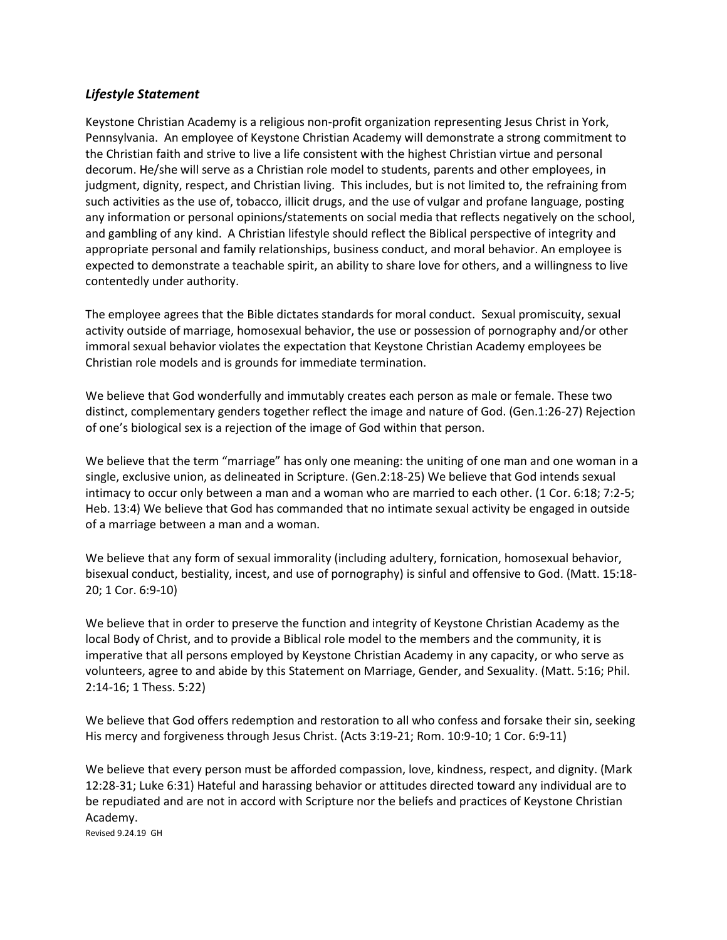#### *Lifestyle Statement*

Keystone Christian Academy is a religious non-profit organization representing Jesus Christ in York, Pennsylvania. An employee of Keystone Christian Academy will demonstrate a strong commitment to the Christian faith and strive to live a life consistent with the highest Christian virtue and personal decorum. He/she will serve as a Christian role model to students, parents and other employees, in judgment, dignity, respect, and Christian living. This includes, but is not limited to, the refraining from such activities as the use of, tobacco, illicit drugs, and the use of vulgar and profane language, posting any information or personal opinions/statements on social media that reflects negatively on the school, and gambling of any kind. A Christian lifestyle should reflect the Biblical perspective of integrity and appropriate personal and family relationships, business conduct, and moral behavior. An employee is expected to demonstrate a teachable spirit, an ability to share love for others, and a willingness to live contentedly under authority.

The employee agrees that the Bible dictates standards for moral conduct. Sexual promiscuity, sexual activity outside of marriage, homosexual behavior, the use or possession of pornography and/or other immoral sexual behavior violates the expectation that Keystone Christian Academy employees be Christian role models and is grounds for immediate termination.

We believe that God wonderfully and immutably creates each person as male or female. These two distinct, complementary genders together reflect the image and nature of God. (Gen.1:26-27) Rejection of one's biological sex is a rejection of the image of God within that person.

We believe that the term "marriage" has only one meaning: the uniting of one man and one woman in a single, exclusive union, as delineated in Scripture. (Gen.2:18-25) We believe that God intends sexual intimacy to occur only between a man and a woman who are married to each other. (1 Cor. 6:18; 7:2-5; Heb. 13:4) We believe that God has commanded that no intimate sexual activity be engaged in outside of a marriage between a man and a woman.

We believe that any form of sexual immorality (including adultery, fornication, homosexual behavior, bisexual conduct, bestiality, incest, and use of pornography) is sinful and offensive to God. (Matt. 15:18- 20; 1 Cor. 6:9-10)

We believe that in order to preserve the function and integrity of Keystone Christian Academy as the local Body of Christ, and to provide a Biblical role model to the members and the community, it is imperative that all persons employed by Keystone Christian Academy in any capacity, or who serve as volunteers, agree to and abide by this Statement on Marriage, Gender, and Sexuality. (Matt. 5:16; Phil. 2:14-16; 1 Thess. 5:22)

We believe that God offers redemption and restoration to all who confess and forsake their sin, seeking His mercy and forgiveness through Jesus Christ. (Acts 3:19-21; Rom. 10:9-10; 1 Cor. 6:9-11)

We believe that every person must be afforded compassion, love, kindness, respect, and dignity. (Mark 12:28-31; Luke 6:31) Hateful and harassing behavior or attitudes directed toward any individual are to be repudiated and are not in accord with Scripture nor the beliefs and practices of Keystone Christian Academy.

Revised 9.24.19 GH